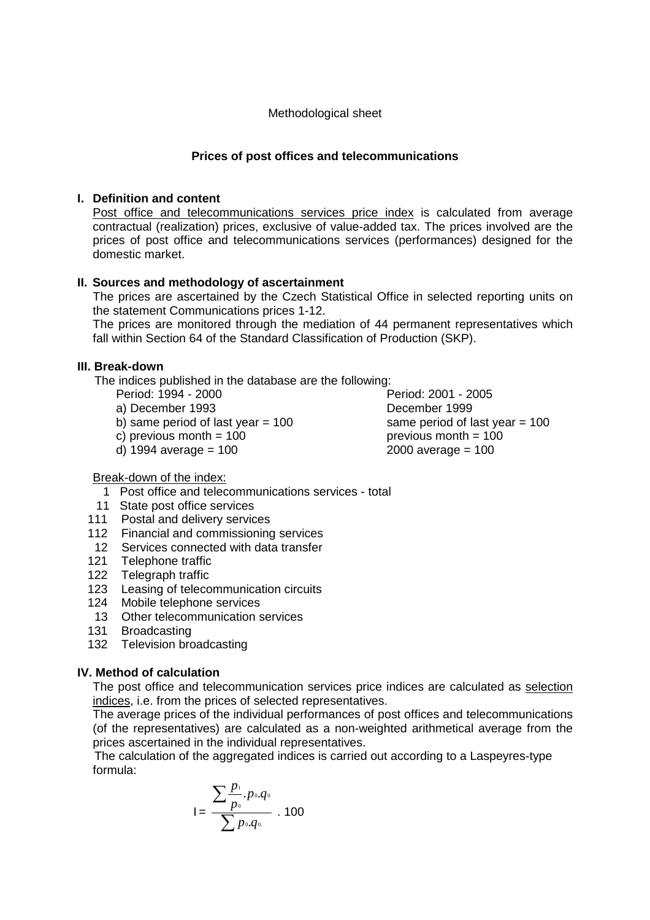#### Methodological sheet

### **Prices of post offices and telecommunications**

#### **I. Definition and content**

Post office and telecommunications services price index is calculated from average contractual (realization) prices, exclusive of value-added tax. The prices involved are the prices of post office and telecommunications services (performances) designed for the domestic market.

### **II. Sources and methodology of ascertainment**

The prices are ascertained by the Czech Statistical Office in selected reporting units on the statement Communications prices 1-12.

The prices are monitored through the mediation of 44 permanent representatives which fall within Section 64 of the Standard Classification of Production (SKP).

#### **III. Break-down**

The indices published in the database are the following:

- 
- a) December 1993 December 1999
- b) same period of last year  $= 100$  same period of last year  $= 100$
- 
- 

Period: 1994 - 2000 Period: 2001 - 2005 c) previous month  $= 100$  previous month  $= 100$ d) 1994 average = 100 2000 average = 100

# Break-down of the index:

- 1 Post office and telecommunications services total
- 11 State post office services
- 111 Postal and delivery services
- 112 Financial and commissioning services
- 12 Services connected with data transfer
- 121 Telephone traffic
- 122 Telegraph traffic
- 123 Leasing of telecommunication circuits
- 124 Mobile telephone services
- 13 Other telecommunication services
- 131 Broadcasting
- 132 Television broadcasting

#### **IV. Method of calculation**

The post office and telecommunication services price indices are calculated as selection indices, i.e. from the prices of selected representatives.

The average prices of the individual performances of post offices and telecommunications (of the representatives) are calculated as a non-weighted arithmetical average from the prices ascertained in the individual representatives.

 The calculation of the aggregated indices is carried out according to a Laspeyres-type formula:

$$
I = \frac{\sum_{p_0}^{p_1} p_0 q_0}{\sum_{p_0}^{p_0} p_0 q_0} \cdot 100
$$